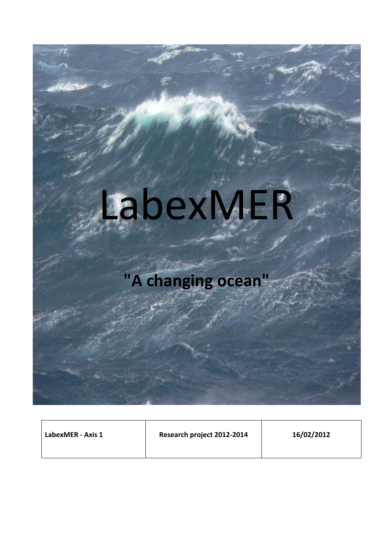# LabexMER

# **"A changing ocean"**

| LabexMER - Axis 1 | Research project 2012-2014 | 16/02/2012 |
|-------------------|----------------------------|------------|
|                   |                            |            |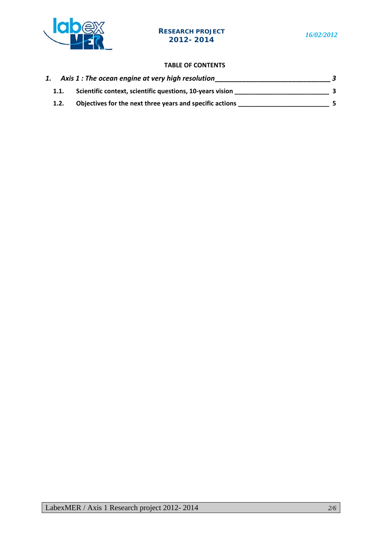

### **TABLE OF CONTENTS**

|  | Axis 1 : The ocean engine at very high resolution         |  |
|--|-----------------------------------------------------------|--|
|  | Scientific context, scientific questions, 10-years vision |  |
|  | Objectives for the next three years and specific actions  |  |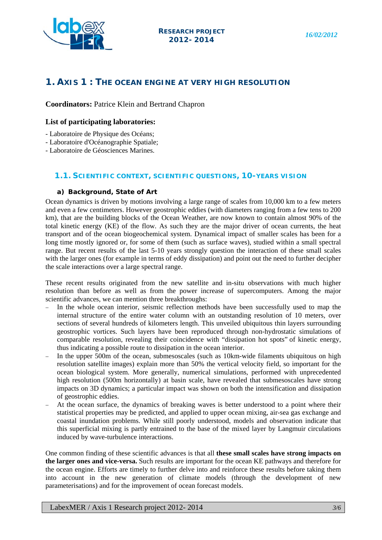

# **1. AXIS 1 : THE OCEAN ENGINE AT VERY HIGH RESOLUTION**

**Coordinators:** Patrice Klein and Bertrand Chapron

#### **List of participating laboratories:**

- Laboratoire de Physique des Océans;
- Laboratoire d'Océanographie Spatiale;
- Laboratoire de Géosciences Marines.

## **1.1. SCIENTIFIC CONTEXT, SCIENTIFIC QUESTIONS, 10-YEARS VISION**

#### **a) Background, State of Art**

Ocean dynamics is driven by motions involving a large range of scales from 10,000 km to a few meters and even a few centimeters. However geostrophic eddies (with diameters ranging from a few tens to 200 km), that are the building blocks of the Ocean Weather, are now known to contain almost 90% of the total kinetic energy (KE) of the flow. As such they are the major driver of ocean currents, the heat transport and of the ocean biogeochemical system. Dynamical impact of smaller scales has been for a long time mostly ignored or, for some of them (such as surface waves), studied within a small spectral range. But recent results of the last 5-10 years strongly question the interaction of these small scales with the larger ones (for example in terms of eddy dissipation) and point out the need to further decipher the scale interactions over a large spectral range.

These recent results originated from the new satellite and in-situ observations with much higher resolution than before as well as from the power increase of supercomputers. Among the major scientific advances, we can mention three breakthroughs:

- − In the whole ocean interior, seismic reflection methods have been successfully used to map the internal structure of the entire water column with an outstanding resolution of 10 meters, over sections of several hundreds of kilometers length. This unveiled ubiquitous thin layers surrounding geostrophic vortices. Such layers have been reproduced through non-hydrostatic simulations of comparable resolution, revealing their coincidence with "dissipation hot spots" of kinetic energy, thus indicating a possible route to dissipation in the ocean interior.
- In the upper 500m of the ocean, submesoscales (such as 10km-wide filaments ubiquitous on high resolution satellite images) explain more than 50% the vertical velocity field, so important for the ocean biological system. More generally, numerical simulations, performed with unprecedented high resolution (500m horizontally) at basin scale, have revealed that submesoscales have strong impacts on 3D dynamics; a particular impact was shown on both the intensification and dissipation of geostrophic eddies.
- At the ocean surface, the dynamics of breaking waves is better understood to a point where their statistical properties may be predicted, and applied to upper ocean mixing, air-sea gas exchange and coastal inundation problems. While still poorly understood, models and observation indicate that this superficial mixing is partly entrained to the base of the mixed layer by Langmuir circulations induced by wave-turbulence interactions.

One common finding of these scientific advances is that all **these small scales have strong impacts on the larger ones and vice-versa.** Such results are important for the ocean KE pathways and therefore for the ocean engine. Efforts are timely to further delve into and reinforce these results before taking them into account in the new generation of climate models (through the development of new parameterisations) and for the improvement of ocean forecast models.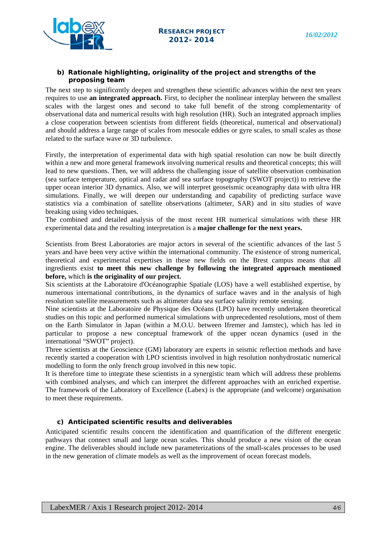

#### **b) Rationale highlighting, originality of the project and strengths of the proposing team**

The next step to signific*a*ntly deepen and strengthen these scientific advances within the next ten years requires to use **an integrated approach.** First, to decipher the nonlinear interplay between the smallest scales with the largest ones and second to take full benefit of the strong complementarity of observational data and numerical results with high resolution (HR). Such an integrated approach implies a close cooperation between scientists from different fields (theoretical, numerical and observational) and should address a large range of scales from mesocale eddies or gyre scales, to small scales as those related to the surface wave or 3D turbulence.

Firstly, the interpretation of experimental data with high spatial resolution can now be built directly within a new and more general framework involving numerical results and theoretical concepts; this will lead to new questions. Then, we will address the challenging issue of satellite observation combination (sea surface temperature, optical and radar and sea surface topography (SWOT project)) to retrieve the upper ocean interior 3D dynamics. Also, we will interpret geoseismic oceanography data with ultra HR simulations. Finally, we will deepen our understanding and capability of predicting surface wave statistics via a combination of satellite observations (altimeter, SAR) and in situ studies of wave breaking using video techniques.

The combined and detailed analysis of the most recent HR numerical simulations with these HR experimental data and the resulting interpretation is a **major challenge for the next years.**

Scientists from Brest Laboratories are major actors in several of the scientific advances of the last 5 years and have been very active within the international community. The existence of strong numerical, theoretical and experimental expertises in these new fields on the Brest campus means that all ingredients exist **to meet this new challenge by following the integrated approach mentioned before,** which **is the originality of our project.**

Six scientists at the Laboratoire d'Océanographie Spatiale (LOS) have a well established expertise, by numerous international contributions, in the dynamics of surface waves and in the analysis of high resolution satellite measurements such as altimeter data sea surface salinity remote sensing.

Nine scientists at the Laboratoire de Physique des Océans (LPO) have recently undertaken theoretical studies on this topic and performed numerical simulations with unprecedented resolutions, most of them on the Earth Simulator in Japan (within a M.O.U. between Ifremer and Jamstec), which has led in particular to propose a new conceptual framework of the upper ocean dynamics (used in the international "SWOT" project).

Three scientists at the Geoscience (GM) laboratory are experts in seismic reflection methods and have recently started a cooperation with LPO scientists involved in high resolution nonhydrostatic numerical modelling to form the only french group involved in this new topic.

It is therefore time to integrate these scientists in a synergistic team which will address these problems with combined analyses, and which can interpret the different approaches with an enriched expertise. The framework of the Laboratory of Excellence (Labex) is the appropriate (and welcome) organisation to meet these requirements.

#### **c) Anticipated scientific results and deliverables**

Anticipated scientific results concern the identification and quantification of the different energetic pathways that connect small and large ocean scales. This should produce a new vision of the ocean engine. The deliverables should include new parameterizations of the small-scales processes to be used in the new generation of climate models as well as the improvement of ocean forecast models.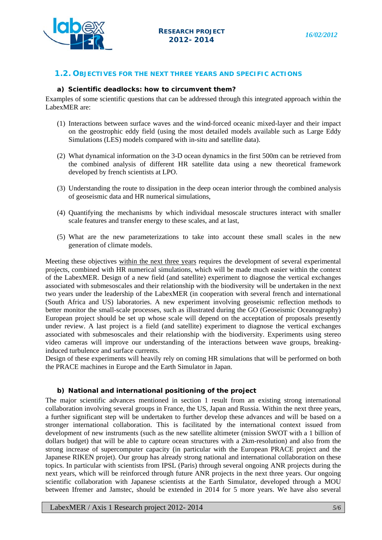

#### **1.2. OBJECTIVES FOR THE NEXT THREE YEARS AND SPECIFIC ACTIONS**

#### **a) Scientific deadlocks: how to circumvent them?**

Examples of some scientific questions that can be addressed through this integrated approach within the LabexMER are:

- (1) Interactions between surface waves and the wind-forced oceanic mixed-layer and their impact on the geostrophic eddy field (using the most detailed models available such as Large Eddy Simulations (LES) models compared with in-situ and satellite data).
- (2) What dynamical information on the 3-D ocean dynamics in the first 500m can be retrieved from the combined analysis of different HR satellite data using a new theoretical framework developed by french scientists at LPO.
- (3) Understanding the route to dissipation in the deep ocean interior through the combined analysis of geoseismic data and HR numerical simulations,
- (4) Quantifying the mechanisms by which individual mesoscale structures interact with smaller scale features and transfer energy to these scales, and at last,
- (5) What are the new parameterizations to take into account these small scales in the new generation of climate models.

Meeting these objectives within the next three years requires the development of several experimental projects, combined with HR numerical simulations, which will be made much easier within the context of the LabexMER. Design of a new field (and satellite) experiment to diagnose the vertical exchanges associated with submesoscales and their relationship with the biodiversity will be undertaken in the next two years under the leadership of the LabexMER (in cooperation with several french and international (South Africa and US) laboratories. A new experiment involving geoseismic reflection methods to better monitor the small-scale processes, such as illustrated during the GO (Geoseismic Oceanography) European project should be set up whose scale will depend on the acceptation of proposals presently under review. A last project is a field (and satellite) experiment to diagnose the vertical exchanges associated with submesoscales and their relationship with the biodiversity. Experiments using stereo video cameras will improve our understanding of the interactions between wave groups, breakinginduced turbulence and surface currents.

Design of these experiments will heavily rely on coming HR simulations that will be performed on both the PRACE machines in Europe and the Earth Simulator in Japan.

#### **b) National and international positioning of the project**

The major scientific advances mentioned in section 1 result from an existing strong international collaboration involving several groups in France, the US, Japan and Russia. Within the next three years, a further significant step will be undertaken to further develop these advances and will be based on a stronger international collaboration. This is facilitated by the international context issued from development of new instruments (such as the new satellite altimeter (mission SWOT with a 1 billion of dollars budget) that will be able to capture ocean structures with a 2km-resolution) and also from the strong increase of supercomputer capacity (in particular with the European PRACE project and the Japanese RIKEN projet). Our group has already strong national and international collaboration on these topics. In particular with scientists from IPSL (Paris) through several ongoing ANR projects during the next years, which will be reinforced through future ANR projects in the next three years. Our ongoing scientific collaboration with Japanese scientists at the Earth Simulator, developed through a MOU between Ifremer and Jamstec, should be extended in 2014 for 5 more years. We have also several